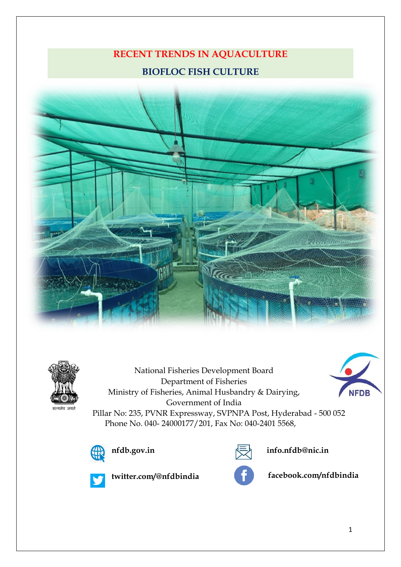# **RECENT TRENDS IN AQUACULTURE BIOFLOC FISH CULTURE**





National Fisheries Development Board Department of Fisheries Ministry of Fisheries, Animal Husbandry & Dairying, Government of India Pillar No: 235, PVNR Expressway, SVPNPA Post, Hyderabad - 500 052 Phone No. 040- 24000177/201, Fax No: 040-2401 5568,





**nfdb.gov.in info.nfdb@nic.in** 



**twitter.com/@nfdbindia facebook.com/nfdbindia**



**NFDB**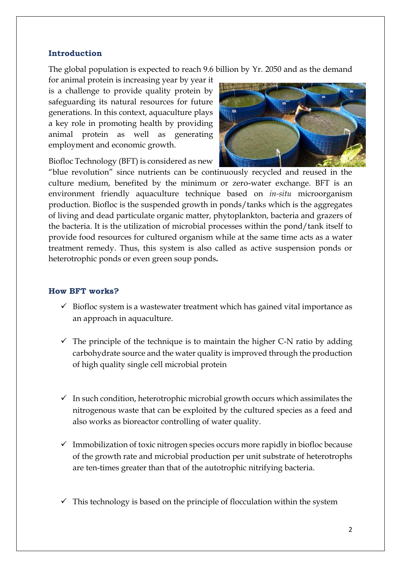### **Introduction**

The global population is expected to reach 9.6 billion by Yr. 2050 and as the demand

for animal protein is increasing year by year it is a challenge to provide quality protein by safeguarding its natural resources for future generations. In this context, aquaculture plays a key role in promoting health by providing animal protein as well as generating employment and economic growth.



Biofloc Technology (BFT) is considered as new

"blue revolution" since nutrients can be continuously recycled and reused in the culture medium, benefited by the minimum or zero-water exchange. BFT is an environment friendly aquaculture technique based on *in-situ* microorganism production. Biofloc is the suspended growth in ponds/tanks which is the aggregates of living and dead particulate organic matter, phytoplankton, bacteria and grazers of the bacteria. It is the utilization of microbial processes within the pond/tank itself to provide food resources for cultured organism while at the same time acts as a water treatment remedy. Thus, this system is also called as active suspension ponds or heterotrophic ponds or even green soup ponds**.**

#### **How BFT works?**

- $\checkmark$  Biofloc system is a wastewater treatment which has gained vital importance as an approach in aquaculture.
- $\checkmark$  The principle of the technique is to maintain the higher C-N ratio by adding carbohydrate source and the water quality is improved through the production of high quality single cell microbial protein
- $\checkmark$  In such condition, heterotrophic microbial growth occurs which assimilates the nitrogenous waste that can be exploited by the cultured species as a feed and also works as bioreactor controlling of water quality.
- $\checkmark$  Immobilization of toxic nitrogen species occurs more rapidly in biofloc because of the growth rate and microbial production per unit substrate of heterotrophs are ten-times greater than that of the autotrophic nitrifying bacteria.
- $\checkmark$  This technology is based on the principle of flocculation within the system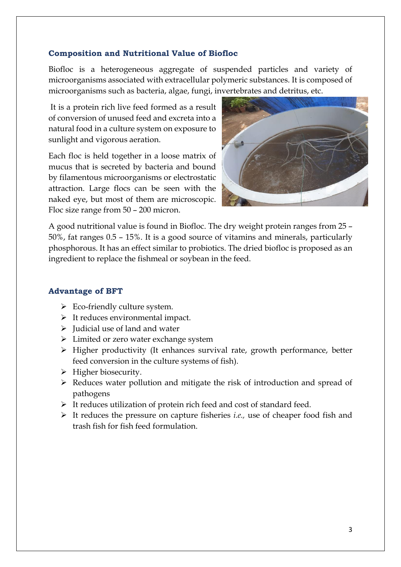#### **Composition and Nutritional Value of Biofloc**

Biofloc is a heterogeneous aggregate of suspended particles and variety of microorganisms associated with extracellular polymeric substances. It is composed of microorganisms such as bacteria, algae, fungi, invertebrates and detritus, etc.

It is a protein rich live feed formed as a result of conversion of unused feed and excreta into a natural food in a culture system on exposure to sunlight and vigorous aeration.

Each floc is held together in a loose matrix of mucus that is secreted by bacteria and bound by filamentous microorganisms or electrostatic attraction. Large flocs can be seen with the naked eye, but most of them are microscopic. Floc size range from 50 – 200 micron.



A good nutritional value is found in Biofloc. The dry weight protein ranges from 25 – 50%, fat ranges 0.5 – 15%. It is a good source of vitamins and minerals, particularly phosphorous. It has an effect similar to probiotics. The dried biofloc is proposed as an ingredient to replace the fishmeal or soybean in the feed.

## **Advantage of BFT**

- $\triangleright$  Eco-friendly culture system.
- $\triangleright$  It reduces environmental impact.
- $\triangleright$  Judicial use of land and water
- $\triangleright$  Limited or zero water exchange system
- $\triangleright$  Higher productivity (It enhances survival rate, growth performance, better feed conversion in the culture systems of fish).
- $\triangleright$  Higher biosecurity.
- $\triangleright$  Reduces water pollution and mitigate the risk of introduction and spread of pathogens
- $\triangleright$  It reduces utilization of protein rich feed and cost of standard feed.
- It reduces the pressure on capture fisheries *i.e.,* use of cheaper food fish and trash fish for fish feed formulation.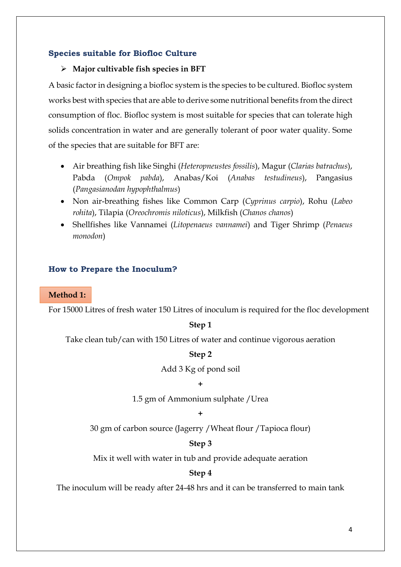#### **Species suitable for Biofloc Culture**

#### **Major cultivable fish species in BFT**

A basic factor in designing a biofloc system is the species to be cultured. Biofloc system works best with species that are able to derive some nutritional benefits from the direct consumption of floc. Biofloc system is most suitable for species that can tolerate high solids concentration in water and are generally tolerant of poor water quality. Some of the species that are suitable for BFT are:

- Air breathing fish like Singhi (*Heteropneustes fossilis*), Magur (*Clarias batrachus*), Pabda (*Ompok pabda*), Anabas/Koi (*Anabas testudineus*), Pangasius (*Pangasianodan hypophthalmus*)
- Non air-breathing fishes like Common Carp (*Cyprinus carpio*), Rohu (*Labeo rohita*), Tilapia (*Oreochromis niloticus*), Milkfish (*Chanos chanos*)
- Shellfishes like Vannamei (*Litopenaeus vannamei*) and Tiger Shrimp (*Penaeus monodon*)

#### **How to Prepare the Inoculum?**

#### **Method 1:**

For 15000 Litres of fresh water 150 Litres of inoculum is required for the floc development

#### **Step 1**

Take clean tub/can with 150 Litres of water and continue vigorous aeration

#### **Step 2**

Add 3 Kg of pond soil

#### **+**

1.5 gm of Ammonium sulphate /Urea

**+**

30 gm of carbon source (Jagerry /Wheat flour /Tapioca flour)

#### **Step 3**

Mix it well with water in tub and provide adequate aeration

#### **Step 4**

The inoculum will be ready after 24-48 hrs and it can be transferred to main tank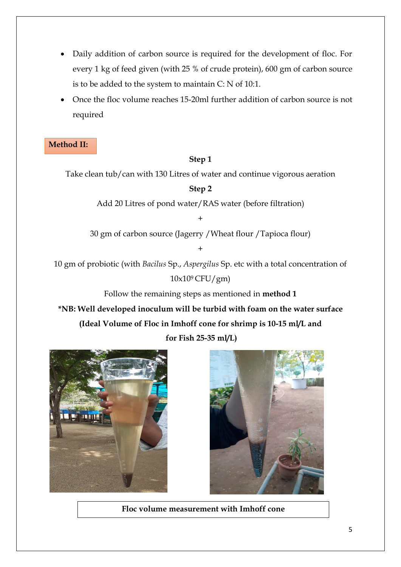- Daily addition of carbon source is required for the development of floc. For every 1 kg of feed given (with 25 % of crude protein), 600 gm of carbon source is to be added to the system to maintain C: N of 10:1.
- Once the floc volume reaches 15-20ml further addition of carbon source is not required

**Method II:**

## **Step 1**

Take clean tub/can with 130 Litres of water and continue vigorous aeration

**Step 2**

Add 20 Litres of pond water/RAS water (before filtration)

30 gm of carbon source (Jagerry /Wheat flour /Tapioca flour)

+

+

10 gm of probiotic (with *Bacilus* Sp., *Aspergilus* Sp. etc with a total concentration of  $10x10<sup>9</sup>$  CFU/gm)

Follow the remaining steps as mentioned in **method 1**

**\*NB: Well developed inoculum will be turbid with foam on the water surface (Ideal Volume of Floc in Imhoff cone for shrimp is 10-15 ml/L and for Fish 25-35 ml/L)**





**Floc volume measurement with Imhoff cone**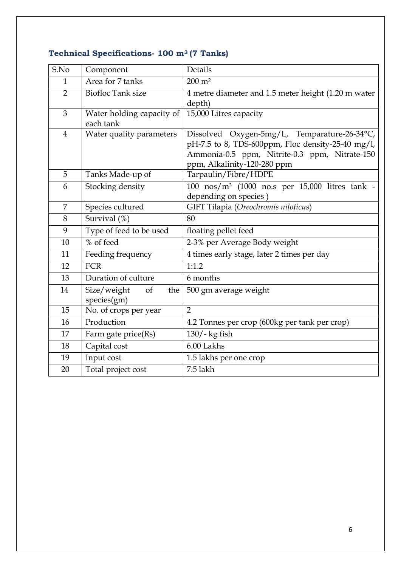| S.No           | Component                               | Details                                                                                                                                                                           |
|----------------|-----------------------------------------|-----------------------------------------------------------------------------------------------------------------------------------------------------------------------------------|
| $\mathbf{1}$   | Area for 7 tanks                        | $200 \text{ m}^2$                                                                                                                                                                 |
| $\overline{2}$ | <b>Biofloc Tank size</b>                | 4 metre diameter and 1.5 meter height (1.20 m water                                                                                                                               |
|                |                                         | depth)                                                                                                                                                                            |
| 3              | Water holding capacity of<br>each tank  | 15,000 Litres capacity                                                                                                                                                            |
| $\overline{4}$ | Water quality parameters                | Dissolved Oxygen-5mg/L, Temparature-26-34°C,<br>pH-7.5 to 8, TDS-600ppm, Floc density-25-40 mg/l,<br>Ammonia-0.5 ppm, Nitrite-0.3 ppm, Nitrate-150<br>ppm, Alkalinity-120-280 ppm |
| 5              | Tanks Made-up of                        | Tarpaulin/Fibre/HDPE                                                                                                                                                              |
| 6              | Stocking density                        | 100 nos/m <sup>3</sup> (1000 no.s per 15,000 litres tank -<br>depending on species)                                                                                               |
| $\overline{7}$ | Species cultured                        | GIFT Tilapia (Oreochromis niloticus)                                                                                                                                              |
| 8              | Survival (%)                            | 80                                                                                                                                                                                |
| 9              | Type of feed to be used                 | floating pellet feed                                                                                                                                                              |
| 10             | % of feed                               | 2-3% per Average Body weight                                                                                                                                                      |
| 11             | Feeding frequency                       | 4 times early stage, later 2 times per day                                                                                                                                        |
| 12             | <b>FCR</b>                              | 1:1.2                                                                                                                                                                             |
| 13             | Duration of culture                     | 6 months                                                                                                                                                                          |
| 14             | Size/weight<br>of<br>the<br>species(gm) | 500 gm average weight                                                                                                                                                             |
| 15             | No. of crops per year                   | $\overline{2}$                                                                                                                                                                    |
| 16             | Production                              | 4.2 Tonnes per crop (600kg per tank per crop)                                                                                                                                     |
| 17             | Farm gate price(Rs)                     | 130/- kg fish                                                                                                                                                                     |
| 18             | Capital cost                            | 6.00 Lakhs                                                                                                                                                                        |
| 19             | Input cost                              | 1.5 lakhs per one crop                                                                                                                                                            |
| 20             | Total project cost                      | 7.5 lakh                                                                                                                                                                          |

# **Technical Specifications- 100 m3 (7 Tanks)**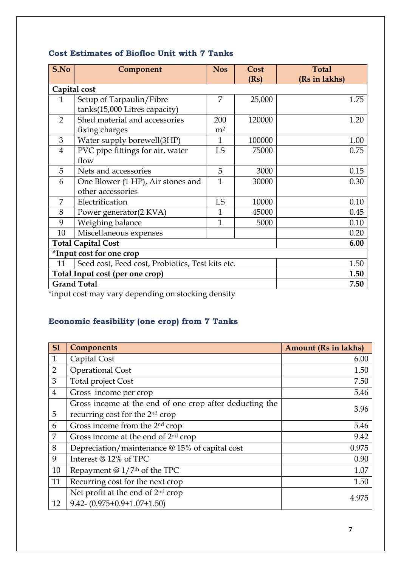| S.No                                                   | Component                         | <b>Nos</b>     | Cost<br>(Rs) | <b>Total</b><br>(Rs in lakhs) |  |  |
|--------------------------------------------------------|-----------------------------------|----------------|--------------|-------------------------------|--|--|
|                                                        | Capital cost                      |                |              |                               |  |  |
| $\mathbf{1}$                                           | Setup of Tarpaulin/Fibre          | 7              | 25,000       | 1.75                          |  |  |
|                                                        | tanks(15,000 Litres capacity)     |                |              |                               |  |  |
| $\overline{2}$                                         | Shed material and accessories     | 200            | 120000       | 1.20                          |  |  |
|                                                        | fixing charges                    | m <sup>2</sup> |              |                               |  |  |
| 3                                                      | Water supply borewell(3HP)        | 1              | 100000       | 1.00                          |  |  |
| $\overline{4}$                                         | PVC pipe fittings for air, water  | LS             | 75000        | 0.75                          |  |  |
|                                                        | flow                              |                |              |                               |  |  |
| 5                                                      | Nets and accessories              | 5              | 3000         | 0.15                          |  |  |
| 6                                                      | One Blower (1 HP), Air stones and | 1              | 30000        | 0.30                          |  |  |
|                                                        | other accessories                 |                |              |                               |  |  |
| 7                                                      | Electrification                   | LS             | 10000        | 0.10                          |  |  |
| 8                                                      | Power generator(2 KVA)            | 1              | 45000        | 0.45                          |  |  |
| 9                                                      | Weighing balance                  | 1              | 5000         | 0.10                          |  |  |
| 10                                                     | Miscellaneous expenses            |                |              | 0.20                          |  |  |
| <b>Total Capital Cost</b>                              |                                   |                |              | 6.00                          |  |  |
| *Input cost for one crop                               |                                   |                |              |                               |  |  |
| Seed cost, Feed cost, Probiotics, Test kits etc.<br>11 |                                   |                | 1.50         |                               |  |  |
| Total Input cost (per one crop)                        |                                   |                |              | 1.50                          |  |  |
|                                                        | <b>Grand Total</b><br>7.50        |                |              |                               |  |  |

# **Cost Estimates of Biofloc Unit with 7 Tanks**

\*input cost may vary depending on stocking density

# **Economic feasibility (one crop) from 7 Tanks**

| S <sub>1</sub> | <b>Components</b>                                       | <b>Amount (Rs in lakhs)</b> |  |
|----------------|---------------------------------------------------------|-----------------------------|--|
| $\mathbf{1}$   | Capital Cost                                            | 6.00                        |  |
| $\overline{2}$ | <b>Operational Cost</b>                                 | 1.50                        |  |
| 3              | <b>Total project Cost</b>                               | 7.50                        |  |
| $\overline{4}$ | Gross income per crop                                   | 5.46                        |  |
|                | Gross income at the end of one crop after deducting the | 3.96                        |  |
| 5              | recurring cost for the 2 <sup>nd</sup> crop             |                             |  |
| 6              | Gross income from the 2 <sup>nd</sup> crop              | 5.46                        |  |
| 7              | Gross income at the end of 2 <sup>nd</sup> crop         | 9.42                        |  |
| 8              | Depreciation/maintenance @15% of capital cost           | 0.975                       |  |
| 9              | Interest @ 12% of TPC                                   | 0.90                        |  |
| 10             | Repayment $@1/7th$ of the TPC                           | 1.07                        |  |
| 11             | Recurring cost for the next crop                        | 1.50                        |  |
|                | Net profit at the end of 2 <sup>nd</sup> crop           | 4.975                       |  |
| 12             | $9.42 - (0.975 + 0.9 + 1.07 + 1.50)$                    |                             |  |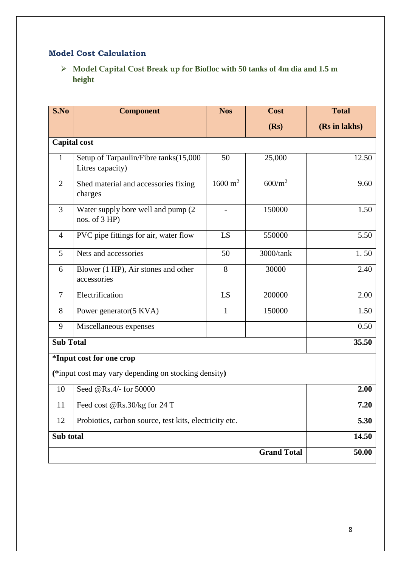## **Model Cost Calculation**

 **Model Capital Cost Break up for Biofloc with 50 tanks of 4m dia and 1.5 m height**

| S.No                                                         | <b>Component</b>                                          | <b>Nos</b>         | <b>Cost</b> | <b>Total</b>  |
|--------------------------------------------------------------|-----------------------------------------------------------|--------------------|-------------|---------------|
|                                                              |                                                           |                    | (Rs)        | (Rs in lakhs) |
|                                                              | <b>Capital cost</b>                                       |                    |             |               |
| $\mathbf{1}$                                                 | Setup of Tarpaulin/Fibre tanks(15,000<br>Litres capacity) | 50                 | 25,000      | 12.50         |
| $\overline{2}$                                               | Shed material and accessories fixing<br>charges           | $1600 \text{ m}^2$ | $600/m^2$   | 9.60          |
| $\overline{3}$                                               | Water supply bore well and pump (2)<br>nos. of 3 HP)      |                    | 150000      | 1.50          |
| $\overline{4}$                                               | PVC pipe fittings for air, water flow                     | LS                 | 550000      | 5.50          |
| 5                                                            | Nets and accessories                                      | 50                 | 3000/tank   | 1.50          |
| 6                                                            | Blower (1 HP), Air stones and other<br>accessories        | 8                  | 30000       | 2.40          |
| $\overline{7}$                                               | Electrification                                           | LS                 | 200000      | 2.00          |
| 8                                                            | Power generator(5 KVA)                                    | $\mathbf{1}$       | 150000      | 1.50          |
| 9                                                            | Miscellaneous expenses                                    |                    |             | 0.50          |
| <b>Sub Total</b>                                             |                                                           |                    |             | 35.50         |
|                                                              | *Input cost for one crop                                  |                    |             |               |
|                                                              | (*input cost may vary depending on stocking density)      |                    |             |               |
| 10                                                           | Seed @Rs.4/- for 50000                                    |                    |             | 2.00          |
| 11                                                           | Feed cost @Rs.30/kg for 24 T                              |                    |             | 7.20          |
| 12<br>Probiotics, carbon source, test kits, electricity etc. |                                                           |                    |             | 5.30          |
| Sub total                                                    |                                                           |                    |             | 14.50         |
| <b>Grand Total</b>                                           |                                                           |                    |             | 50.00         |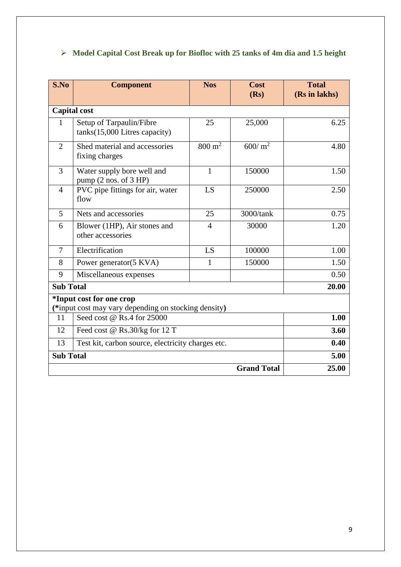# **Model Capital Cost Break up for Biofloc with 25 tanks of 4m dia and 1.5 height**

| S.No               | <b>Component</b>                                                                 | <b>Nos</b>        | Cost<br>(Rs) | <b>Total</b><br>(Rs in lakhs) |  |  |  |
|--------------------|----------------------------------------------------------------------------------|-------------------|--------------|-------------------------------|--|--|--|
|                    | <b>Capital</b> cost                                                              |                   |              |                               |  |  |  |
|                    |                                                                                  |                   |              |                               |  |  |  |
| $\mathbf{1}$       | Setup of Tarpaulin/Fibre<br>$tanks(15,000$ Litres capacity)                      | 25                | 25,000       | 6.25                          |  |  |  |
| $\overline{2}$     | Shed material and accessories<br>fixing charges                                  | $800 \text{ m}^2$ | $600/m^2$    | 4.80                          |  |  |  |
| $\overline{3}$     | Water supply bore well and<br>pump (2 nos. of 3 HP)                              | $\mathbf{1}$      | 150000       | 1.50                          |  |  |  |
| $\overline{4}$     | PVC pipe fittings for air, water<br>flow                                         | LS                | 250000       | 2.50                          |  |  |  |
| 5                  | Nets and accessories                                                             | 25                | 3000/tank    | 0.75                          |  |  |  |
| 6                  | Blower (1HP), Air stones and<br>other accessories                                | $\overline{4}$    | 30000        | 1.20                          |  |  |  |
| $\overline{7}$     | Electrification                                                                  | LS                | 100000       | 1.00                          |  |  |  |
| 8                  | Power generator(5 KVA)                                                           | $\mathbf{1}$      | 150000       | 1.50                          |  |  |  |
| 9                  | Miscellaneous expenses                                                           |                   |              | 0.50                          |  |  |  |
| <b>Sub Total</b>   |                                                                                  |                   |              | 20.00                         |  |  |  |
|                    | *Input cost for one crop<br>(*input cost may vary depending on stocking density) |                   |              |                               |  |  |  |
| 11                 | Seed cost @ Rs.4 for 25000                                                       |                   |              | 1.00                          |  |  |  |
| 12                 | Feed cost @ Rs.30/kg for 12 T                                                    |                   |              | 3.60                          |  |  |  |
| 13                 | Test kit, carbon source, electricity charges etc.                                |                   |              | 0.40                          |  |  |  |
| <b>Sub Total</b>   |                                                                                  |                   |              | 5.00                          |  |  |  |
| <b>Grand Total</b> |                                                                                  |                   |              | 25.00                         |  |  |  |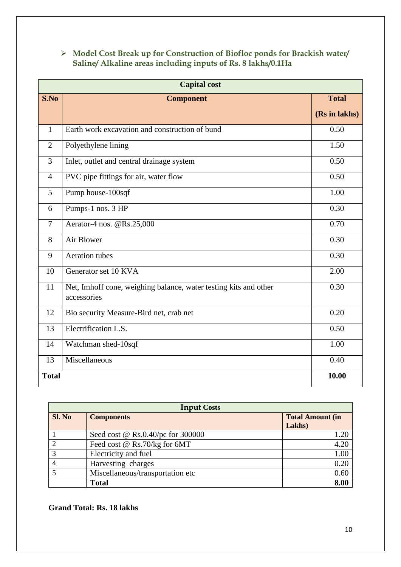## **Model Cost Break up for Construction of Biofloc ponds for Brackish water/ Saline/ Alkaline areas including inputs of Rs. 8 lakhs/0.1Ha**

|                | <b>Capital cost</b>                                                             |               |  |  |
|----------------|---------------------------------------------------------------------------------|---------------|--|--|
| S.No           | <b>Component</b>                                                                | <b>Total</b>  |  |  |
|                |                                                                                 | (Rs in lakhs) |  |  |
| $\mathbf{1}$   | Earth work excavation and construction of bund                                  | 0.50          |  |  |
| $\overline{2}$ | Polyethylene lining                                                             | 1.50          |  |  |
| 3              | Inlet, outlet and central drainage system                                       | 0.50          |  |  |
| $\overline{4}$ | PVC pipe fittings for air, water flow                                           | 0.50          |  |  |
| 5              | Pump house-100sqf                                                               | 1.00          |  |  |
| 6              | Pumps-1 nos. 3 HP                                                               | 0.30          |  |  |
| $\overline{7}$ | Aerator-4 nos. @Rs.25,000                                                       | 0.70          |  |  |
| 8              | Air Blower                                                                      | 0.30          |  |  |
| 9              | <b>Aeration</b> tubes                                                           | 0.30          |  |  |
| 10             | Generator set 10 KVA                                                            | 2.00          |  |  |
| 11             | Net, Imhoff cone, weighing balance, water testing kits and other<br>accessories | 0.30          |  |  |
| 12             | Bio security Measure-Bird net, crab net                                         | 0.20          |  |  |
| 13             | Electrification L.S.                                                            | 0.50          |  |  |
| 14             | Watchman shed-10sqf                                                             | 1.00          |  |  |
| 13             | Miscellaneous                                                                   | 0.40          |  |  |
| <b>Total</b>   |                                                                                 | 10.00         |  |  |

| <b>Input Costs</b> |                                          |                         |  |
|--------------------|------------------------------------------|-------------------------|--|
| Sl. No             | <b>Components</b>                        | <b>Total Amount (in</b> |  |
|                    |                                          | Lakhs)                  |  |
|                    | Seed cost $\omega$ Rs.0.40/pc for 300000 | 1.20                    |  |
|                    | Feed cost @ Rs.70/kg for 6MT             | 4.20                    |  |
| 3                  | Electricity and fuel                     | 1.00                    |  |
|                    | Harvesting charges                       | 0.20                    |  |
|                    | Miscellaneous/transportation etc         | 0.60                    |  |
|                    | <b>Total</b>                             | 8.00                    |  |

**Grand Total: Rs. 18 lakhs**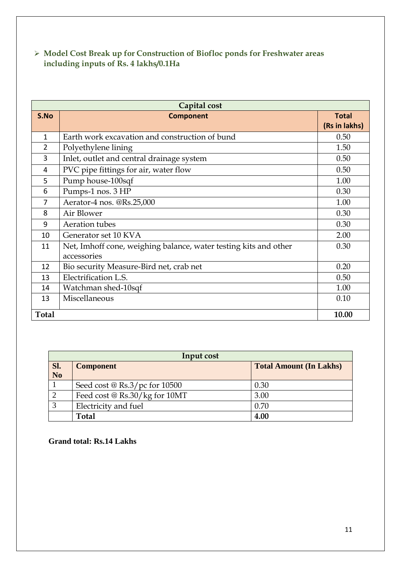**Model Cost Break up for Construction of Biofloc ponds for Freshwater areas including inputs of Rs. 4 lakhs/0.1Ha**

| Capital cost   |                                                                                 |               |  |
|----------------|---------------------------------------------------------------------------------|---------------|--|
| S.No           | <b>Component</b>                                                                | <b>Total</b>  |  |
|                |                                                                                 | (Rs in lakhs) |  |
| $\mathbf{1}$   | Earth work excavation and construction of bund                                  | 0.50          |  |
| $\overline{2}$ | Polyethylene lining                                                             | 1.50          |  |
| 3              | Inlet, outlet and central drainage system                                       | 0.50          |  |
| 4              | PVC pipe fittings for air, water flow                                           | 0.50          |  |
| 5              | Pump house-100sqf                                                               | 1.00          |  |
| 6              | Pumps-1 nos. 3 HP                                                               | 0.30          |  |
| 7              | Aerator-4 nos. @Rs.25,000                                                       | 1.00          |  |
| 8              | Air Blower                                                                      | 0.30          |  |
| 9              | Aeration tubes                                                                  | 0.30          |  |
| 10             | Generator set 10 KVA                                                            | 2.00          |  |
| 11             | Net, Imhoff cone, weighing balance, water testing kits and other<br>accessories | 0.30          |  |
| 12             | Bio security Measure-Bird net, crab net                                         | 0.20          |  |
| 13             | Electrification L.S.                                                            | 0.50          |  |
| 14             | Watchman shed-10sqf                                                             | 1.00          |  |
| 13             | Miscellaneous                                                                   | 0.10          |  |
| <b>Total</b>   |                                                                                 | 10.00         |  |

|                         | Input cost                             |                                |  |  |  |
|-------------------------|----------------------------------------|--------------------------------|--|--|--|
| Sl.                     | <b>Component</b>                       | <b>Total Amount (In Lakhs)</b> |  |  |  |
| $\overline{\mathbf{N}}$ |                                        |                                |  |  |  |
|                         | Seed cost @ $\text{Rs.3/pc}$ for 10500 | 0.30                           |  |  |  |
| $\overline{2}$          | Feed cost @ Rs.30/kg for 10MT          | 3.00                           |  |  |  |
| 3                       | Electricity and fuel                   | 0.70                           |  |  |  |
|                         | <b>Total</b>                           | 4.00                           |  |  |  |

**Grand total: Rs.14 Lakhs**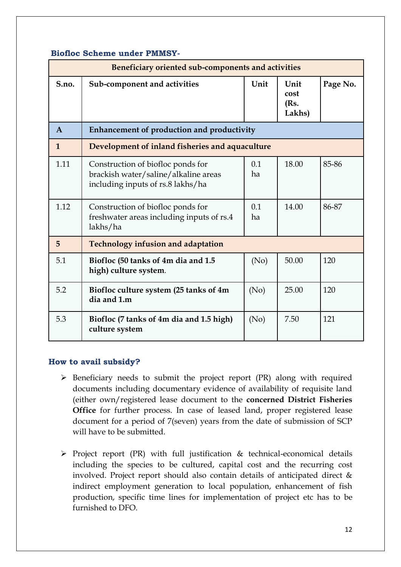## **Biofloc Scheme under PMMSY-**

|              | Beneficiary oriented sub-components and activities                                                             |           |                                |          |
|--------------|----------------------------------------------------------------------------------------------------------------|-----------|--------------------------------|----------|
| S.no.        | Sub-component and activities                                                                                   | Unit      | Unit<br>cost<br>(Rs.<br>Lakhs) | Page No. |
| $\mathbf{A}$ | Enhancement of production and productivity                                                                     |           |                                |          |
| 1            | Development of inland fisheries and aquaculture                                                                |           |                                |          |
| 1.11         | Construction of biofloc ponds for<br>brackish water/saline/alkaline areas<br>including inputs of rs.8 lakhs/ha | 0.1<br>ha | 18.00                          | 85-86    |
| 1.12         | Construction of biofloc ponds for<br>freshwater areas including inputs of rs.4<br>lakhs/ha                     | 0.1<br>ha | 14.00                          | 86-87    |
| 5            | <b>Technology infusion and adaptation</b>                                                                      |           |                                |          |
| 5.1          | Biofloc (50 tanks of 4m dia and 1.5<br>high) culture system.                                                   | (No)      | 50.00                          | 120      |
| 5.2          | Biofloc culture system (25 tanks of 4m<br>dia and 1.m                                                          | (No)      | 25.00                          | 120      |
| 5.3          | Biofloc (7 tanks of 4m dia and 1.5 high)<br>culture system                                                     | (No)      | 7.50                           | 121      |

## **How to avail subsidy?**

- $\triangleright$  Beneficiary needs to submit the project report (PR) along with required documents including documentary evidence of availability of requisite land (either own/registered lease document to the **concerned District Fisheries Office** for further process. In case of leased land, proper registered lease document for a period of 7(seven) years from the date of submission of SCP will have to be submitted.
- $\triangleright$  Project report (PR) with full justification & technical-economical details including the species to be cultured, capital cost and the recurring cost involved. Project report should also contain details of anticipated direct & indirect employment generation to local population, enhancement of fish production, specific time lines for implementation of project etc has to be furnished to DFO.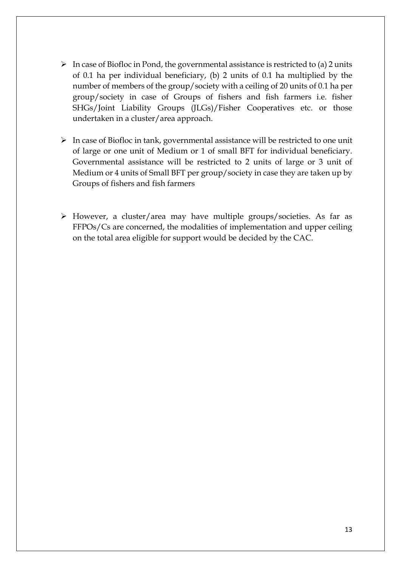- $\triangleright$  In case of Biofloc in Pond, the governmental assistance is restricted to (a) 2 units of 0.1 ha per individual beneficiary, (b) 2 units of 0.1 ha multiplied by the number of members of the group/society with a ceiling of 20 units of 0.1 ha per group/society in case of Groups of fishers and fish farmers i.e. fisher SHGs/Joint Liability Groups (JLGs)/Fisher Cooperatives etc. or those undertaken in a cluster/area approach.
- $\triangleright$  In case of Biofloc in tank, governmental assistance will be restricted to one unit of large or one unit of Medium or 1 of small BFT for individual beneficiary. Governmental assistance will be restricted to 2 units of large or 3 unit of Medium or 4 units of Small BFT per group/society in case they are taken up by Groups of fishers and fish farmers
- However, a cluster/area may have multiple groups/societies. As far as FFPOs/Cs are concerned, the modalities of implementation and upper ceiling on the total area eligible for support would be decided by the CAC.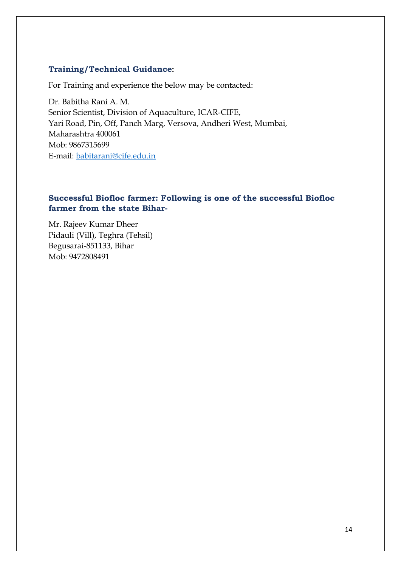### **Training/Technical Guidance:**

For Training and experience the below may be contacted:

Dr. Babitha Rani A. M. Senior Scientist, Division of Aquaculture, ICAR-CIFE, Yari Road, Pin, Off, Panch Marg, Versova, Andheri West, Mumbai, Maharashtra 400061 Mob: 9867315699 E-mail: babitarani@cife.edu.in

## **Successful Biofloc farmer: Following is one of the successful Biofloc farmer from the state Bihar-**

Mr. Rajeev Kumar Dheer Pidauli (Vill), Teghra (Tehsil) Begusarai-851133, Bihar Mob: 9472808491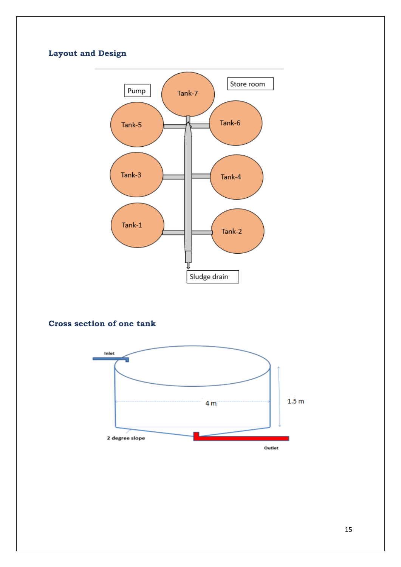# **Layout and Design**



## **Cross section of one tank**